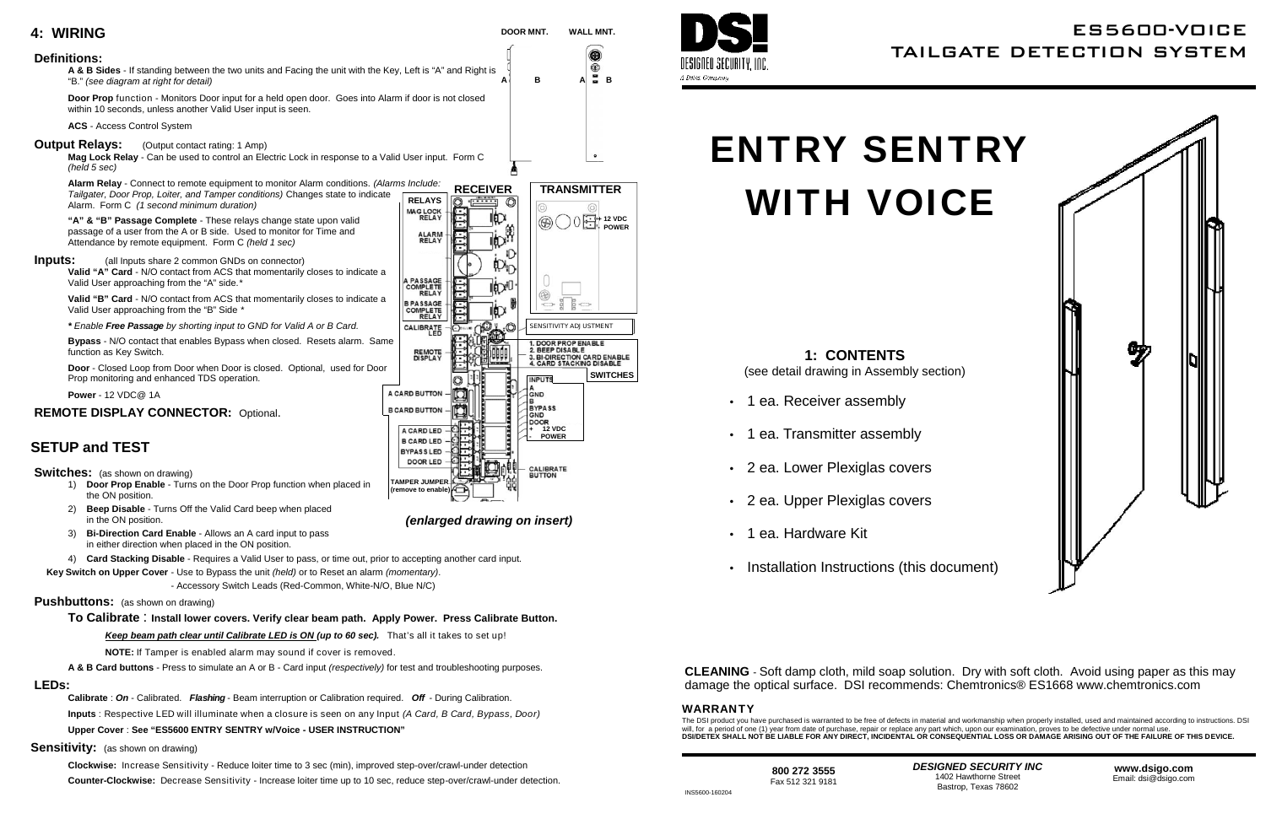

## **CLEANING** - Soft damp cloth, mild soap solution. Dry with soft cloth. Avoid using paper as this may damage the optical surface. DSI recommends: Chemtronics® ES1668 www.chemtronics.com

**NOTE:** If Tamper is enabled alarm may sound if cover is removed.

**A & B Card buttons** - Press to simulate an A or B - Card input *(respectively)* for test and troubleshooting purposes.

#### **LEDs:**

**Calibrate** : *On* - Calibrated. *Flashing* - Beam interruption or Calibration required. *Off* - During Calibration. **Inputs** : Respective LED will illuminate when a closure is seen on any Input *(A Card, B Card, Bypass, Door)*

**Upper Cover** : **See "ES5600 ENTRY SENTRY w/Voice - USER INSTRUCTION"**

**Sensitivity:** (as shown on drawing)

**Clockwise:** Increase Sensitivity - Reduce loiter time to 3 sec (min), improved step-over/crawl-under detection **Counter-Clockwise:** Decrease Sensitivity - Increase loiter time up to 10 sec, reduce step-over/crawl-under detection. A Detex Company

# ES5600-VOICE TAILGATE DETECTION SYSTEM



INS5600-160204

### **WARRANTY**

The DSI product you have purchased is warranted to be free of defects in material and workmanship when properly installed, used and maintained according to instructions. DSI will, for a period of one (1) year from date of purchase, repair or replace any part which, upon our examination, proves to be defective under normal use **DSI/DETEX SHALL NOT BE LIABLE FOR ANY DIRECT, INCIDENTAL OR CONSEQUENTIAL LOSS OR DAMAGE ARISING OUT OF THE FAILURE OF THIS DEVICE.**

# **ENTRY SENTRY WITH VOICE**

**1: CONTENTS** (see detail drawing in Assembly section)

- 1 ea. Receiver assembly
- 1 ea. Transmitter assembly
- 2 ea. Lower Plexiglas covers
- 2 ea. Upper Plexiglas covers
- 1 ea. Hardware Kit
- Installation Instructions (this document)